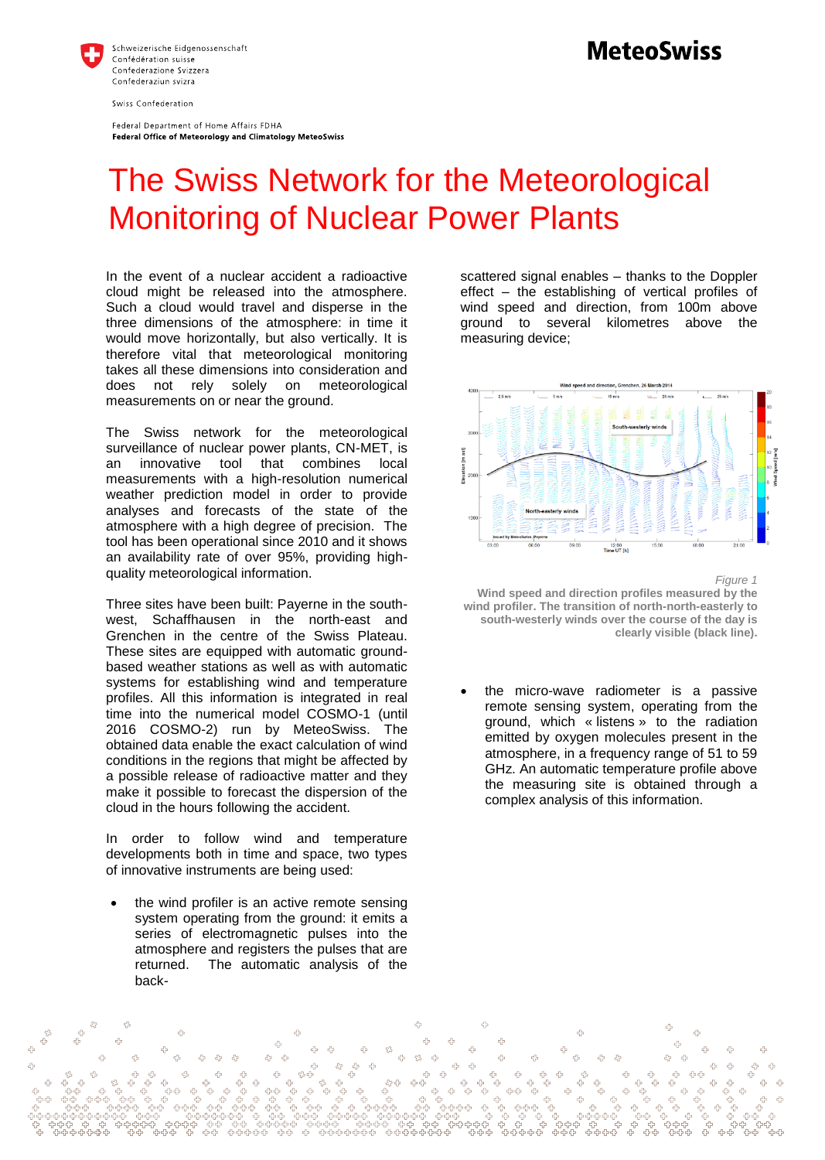

Federal Department of Home Affairs FDHA Federal Office of Meteorology and Climatology MeteoSwiss

## **MeteoSwiss**

## The Swiss Network for the Meteorological Monitoring of Nuclear Power Plants

In the event of a nuclear accident a radioactive cloud might be released into the atmosphere. Such a cloud would travel and disperse in the three dimensions of the atmosphere: in time it would move horizontally, but also vertically. It is therefore vital that meteorological monitoring takes all these dimensions into consideration and does not rely solely on meteorological measurements on or near the ground.

The Swiss network for the meteorological surveillance of nuclear power plants, CN-MET, is an innovative tool that combines local measurements with a high-resolution numerical weather prediction model in order to provide analyses and forecasts of the state of the atmosphere with a high degree of precision. The tool has been operational since 2010 and it shows an availability rate of over 95%, providing highquality meteorological information.

Three sites have been built: Payerne in the southwest, Schaffhausen in the north-east and Grenchen in the centre of the Swiss Plateau. These sites are equipped with automatic groundbased weather stations as well as with automatic systems for establishing wind and temperature profiles. All this information is integrated in real time into the numerical model COSMO-1 (until 2016 COSMO-2) run by MeteoSwiss. The obtained data enable the exact calculation of wind conditions in the regions that might be affected by a possible release of radioactive matter and they make it possible to forecast the dispersion of the cloud in the hours following the accident.

In order to follow wind and temperature developments both in time and space, two types of innovative instruments are being used:

 the wind profiler is an active remote sensing system operating from the ground: it emits a series of electromagnetic pulses into the atmosphere and registers the pulses that are returned. The automatic analysis of the back-

scattered signal enables – thanks to the Doppler effect – the establishing of vertical profiles of wind speed and direction, from 100m above ground to several kilometres above the measuring device;



*Figure 1* **Wind speed and direction profiles measured by the wind profiler. The transition of north-north-easterly to south-westerly winds over the course of the day is clearly visible (black line).** 

 the micro-wave radiometer is a passive remote sensing system, operating from the ground, which « listens » to the radiation emitted by oxygen molecules present in the atmosphere, in a frequency range of 51 to 59 GHz. An automatic temperature profile above the measuring site is obtained through a complex analysis of this information.